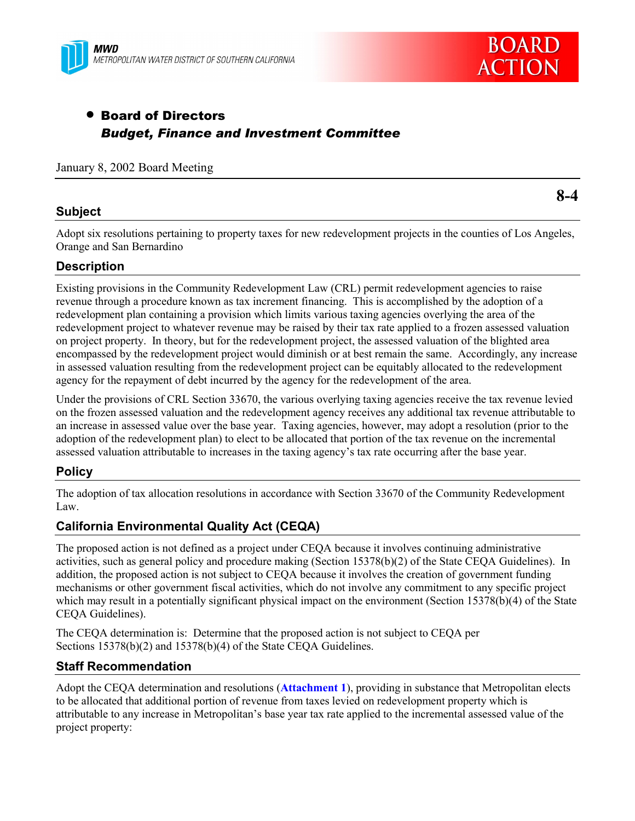



# • Board of Directors *Budget, Finance and Investment Committee*

#### January 8, 2002 Board Meeting

## **Subject**

**8-4**

Adopt six resolutions pertaining to property taxes for new redevelopment projects in the counties of Los Angeles, Orange and San Bernardino

## **Description**

Existing provisions in the Community Redevelopment Law (CRL) permit redevelopment agencies to raise revenue through a procedure known as tax increment financing. This is accomplished by the adoption of a redevelopment plan containing a provision which limits various taxing agencies overlying the area of the redevelopment project to whatever revenue may be raised by their tax rate applied to a frozen assessed valuation on project property. In theory, but for the redevelopment project, the assessed valuation of the blighted area encompassed by the redevelopment project would diminish or at best remain the same. Accordingly, any increase in assessed valuation resulting from the redevelopment project can be equitably allocated to the redevelopment agency for the repayment of debt incurred by the agency for the redevelopment of the area.

Under the provisions of CRL Section 33670, the various overlying taxing agencies receive the tax revenue levied on the frozen assessed valuation and the redevelopment agency receives any additional tax revenue attributable to an increase in assessed value over the base year. Taxing agencies, however, may adopt a resolution (prior to the adoption of the redevelopment plan) to elect to be allocated that portion of the tax revenue on the incremental assessed valuation attributable to increases in the taxing agencyís tax rate occurring after the base year.

## **Policy**

The adoption of tax allocation resolutions in accordance with Section 33670 of the Community Redevelopment Law.

## **California Environmental Quality Act (CEQA)**

The proposed action is not defined as a project under CEQA because it involves continuing administrative activities, such as general policy and procedure making (Section 15378(b)(2) of the State CEQA Guidelines). In addition, the proposed action is not subject to CEQA because it involves the creation of government funding mechanisms or other government fiscal activities, which do not involve any commitment to any specific project which may result in a potentially significant physical impact on the environment (Section 15378(b)(4) of the State CEQA Guidelines).

The CEQA determination is: Determine that the proposed action is not subject to CEQA per Sections 15378(b)(2) and 15378(b)(4) of the State CEQA Guidelines.

## **Staff Recommendation**

Adopt the CEQA determination and resolutions (**Attachment 1**), providing in substance that Metropolitan elects to be allocated that additional portion of revenue from taxes levied on redevelopment property which is attributable to any increase in Metropolitanís base year tax rate applied to the incremental assessed value of the project property: